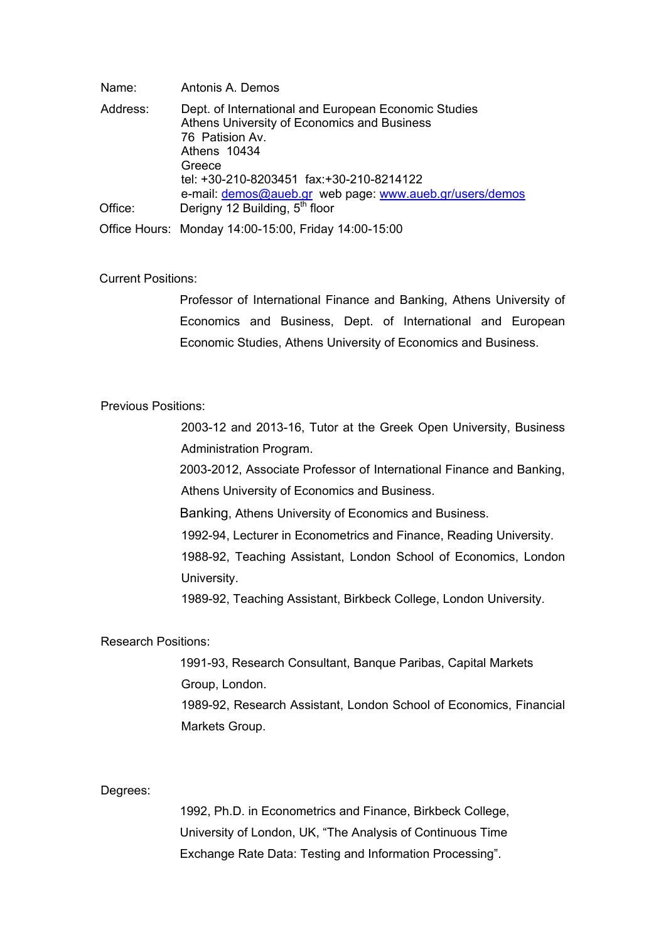| Name:    | Antonis A. Demos                                                                                                                                  |
|----------|---------------------------------------------------------------------------------------------------------------------------------------------------|
| Address: | Dept. of International and European Economic Studies<br>Athens University of Economics and Business<br>76 Patision Av.<br>Athens 10434<br>Greece  |
| Office:  | tel: +30-210-8203451 fax:+30-210-8214122<br>e-mail: demos@aueb.gr web page: www.aueb.gr/users/demos<br>Derigny 12 Building, 5 <sup>th</sup> floor |
|          | Office Hours: Monday 14:00-15:00, Friday 14:00-15:00                                                                                              |

# Current Positions:

 Professor of International Finance and Banking, Athens University of Economics and Business, Dept. of International and European Economic Studies, Athens University of Economics and Business.

## Previous Positions:

 2003-12 and 2013-16, Tutor at the Greek Open University, Business Administration Program.

2003-2012, Associate Professor of International Finance and Banking, Athens University of Economics and Business.

Banking, Athens University of Economics and Business.

1992-94, Lecturer in Econometrics and Finance, Reading University.

1988-92, Teaching Assistant, London School of Economics, London University.

1989-92, Teaching Assistant, Birkbeck College, London University.

## Research Positions:

1991-93, Research Consultant, Banque Paribas, Capital Markets Group, London. 1989-92, Research Assistant, London School of Economics, Financial Markets Group.

#### Degrees:

1992, Ph.D. in Econometrics and Finance, Birkbeck College, University of London, UK, "The Analysis of Continuous Time Exchange Rate Data: Testing and Information Processing".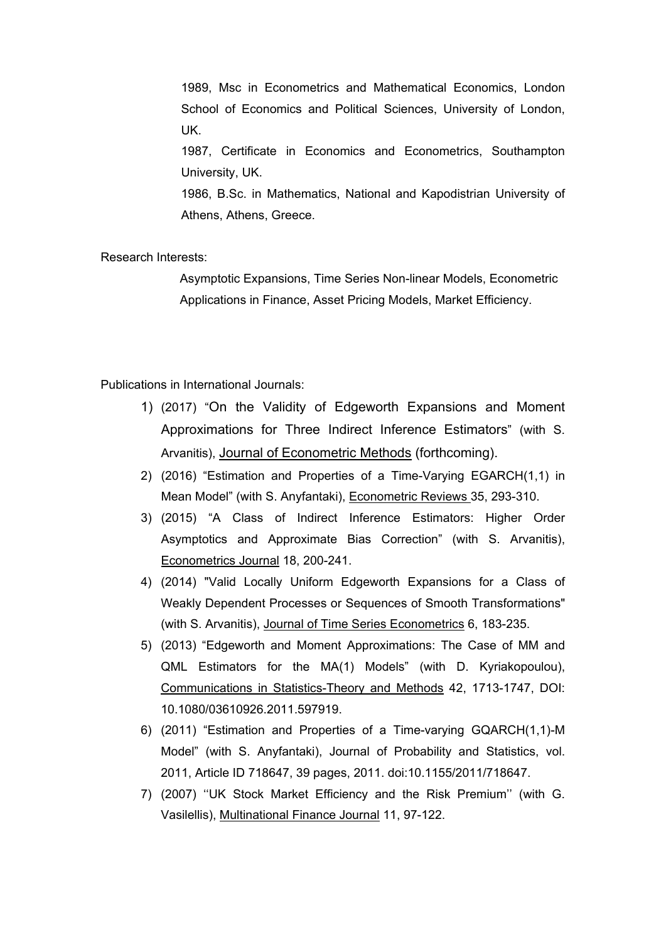1989, Msc in Econometrics and Mathematical Economics, London School of Economics and Political Sciences, University of London, UK.

1987, Certificate in Economics and Econometrics, Southampton University, UK.

1986, B.Sc. in Mathematics, National and Kapodistrian University of Athens, Athens, Greece.

Research Interests:

Asymptotic Expansions, Time Series Non-linear Models, Econometric Applications in Finance, Asset Pricing Models, Market Efficiency.

Publications in International Journals:

- 1) (2017) "On the Validity of Edgeworth Expansions and Moment Approximations for Three Indirect Inference Estimators" (with S. Arvanitis), Journal of Econometric Methods (forthcoming).
- 2) (2016) "Estimation and Properties of a Time-Varying EGARCH(1,1) in Mean Model" (with S. Anyfantaki), Econometric Reviews 35, 293-310.
- 3) (2015) "A Class of Indirect Inference Estimators: Higher Order Asymptotics and Approximate Bias Correction" (with S. Arvanitis), Econometrics Journal 18, 200-241.
- 4) (2014) "Valid Locally Uniform Edgeworth Expansions for a Class of Weakly Dependent Processes or Sequences of Smooth Transformations" (with S. Arvanitis), Journal of Time Series Econometrics 6, 183-235.
- 5) (2013) "Edgeworth and Moment Approximations: The Case of MM and QML Estimators for the MA(1) Models" (with D. Kyriakopoulou), Communications in Statistics-Theory and Methods 42, 1713-1747, DOI: 10.1080/03610926.2011.597919.
- 6) (2011) "Estimation and Properties of a Time-varying GQARCH(1,1)-M Model" (with S. Anyfantaki), Journal of Probability and Statistics, vol. 2011, Article ID 718647, 39 pages, 2011. doi:10.1155/2011/718647.
- 7) (2007) ''UK Stock Market Efficiency and the Risk Premium'' (with G. Vasilellis), Multinational Finance Journal 11, 97-122.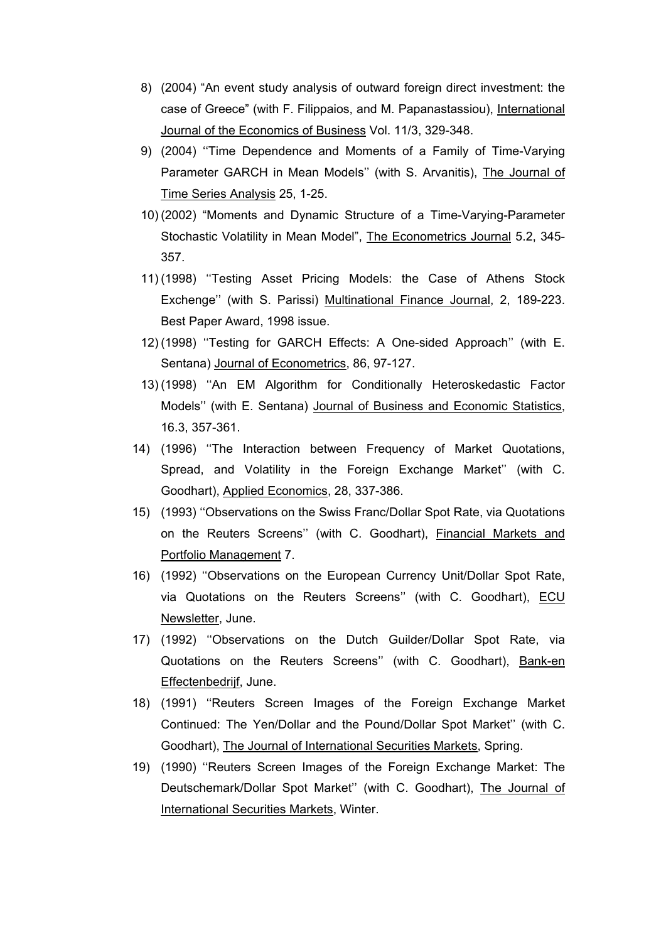- 8) (2004) "An event study analysis of outward foreign direct investment: the case of Greece" (with F. Filippaios, and M. Papanastassiou), International Journal of the Economics of Business Vol. 11/3, 329-348.
- 9) (2004) ''Time Dependence and Moments of a Family of Time-Varying Parameter GARCH in Mean Models'' (with S. Arvanitis), The Journal of Time Series Analysis 25, 1-25.
- 10) (2002) "Moments and Dynamic Structure of a Time-Varying-Parameter Stochastic Volatility in Mean Model", The Econometrics Journal 5.2, 345- 357.
- 11) (1998) ''Testing Asset Pricing Models: the Case of Athens Stock Exchenge'' (with S. Parissi) Multinational Finance Journal, 2, 189-223. Best Paper Award, 1998 issue.
- 12) (1998) ''Testing for GARCH Effects: A One-sided Approach'' (with E. Sentana) Journal of Econometrics, 86, 97-127.
- 13) (1998) ''An EM Algorithm for Conditionally Heteroskedastic Factor Models'' (with E. Sentana) Journal of Business and Economic Statistics, 16.3, 357-361.
- 14) (1996) ''The Interaction between Frequency of Market Quotations, Spread, and Volatility in the Foreign Exchange Market'' (with C. Goodhart), Applied Economics, 28, 337-386.
- 15) (1993) ''Observations on the Swiss Franc/Dollar Spot Rate, via Quotations on the Reuters Screens'' (with C. Goodhart), Financial Markets and Portfolio Management 7.
- 16) (1992) ''Observations on the European Currency Unit/Dollar Spot Rate, via Quotations on the Reuters Screens'' (with C. Goodhart), ECU Newsletter, June.
- 17) (1992) ''Observations on the Dutch Guilder/Dollar Spot Rate, via Quotations on the Reuters Screens" (with C. Goodhart), Bank-en Effectenbedrijf, June.
- 18) (1991) ''Reuters Screen Images of the Foreign Exchange Market Continued: The Yen/Dollar and the Pound/Dollar Spot Market'' (with C. Goodhart), The Journal of International Securities Markets, Spring.
- 19) (1990) ''Reuters Screen Images of the Foreign Exchange Market: The Deutschemark/Dollar Spot Market'' (with C. Goodhart), The Journal of International Securities Markets, Winter.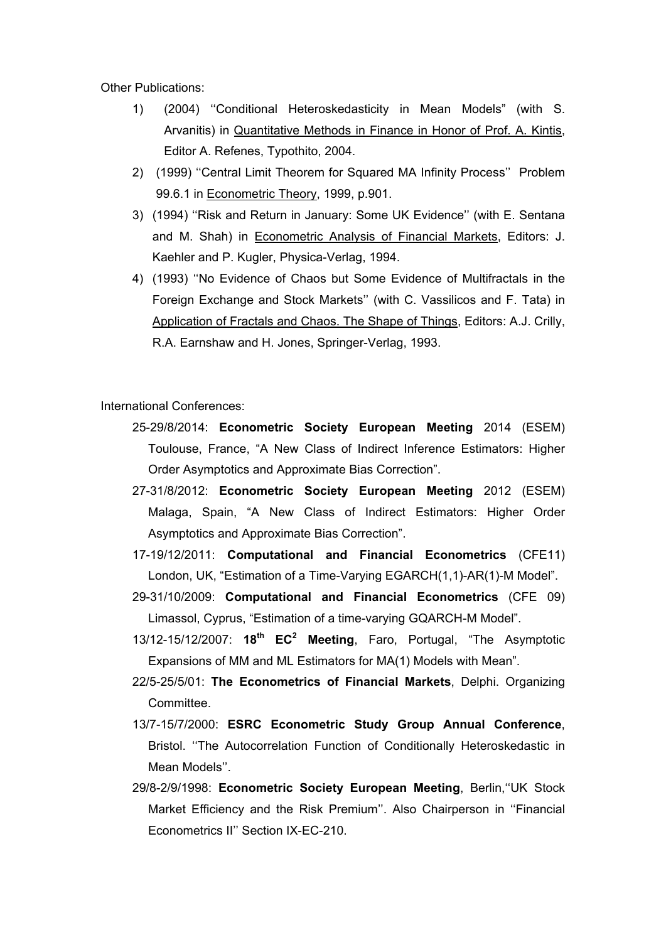Other Publications:

- 1) (2004) ''Conditional Heteroskedasticity in Mean Models" (with S. Arvanitis) in Quantitative Methods in Finance in Honor of Prof. A. Kintis, Editor A. Refenes, Typothito, 2004.
- 2) (1999) ''Central Limit Theorem for Squared MA Infinity Process'' Problem 99.6.1 in Econometric Theory, 1999, p.901.
- 3) (1994) ''Risk and Return in January: Some UK Evidence'' (with E. Sentana and M. Shah) in Econometric Analysis of Financial Markets, Editors: J. Kaehler and P. Kugler, Physica-Verlag, 1994.
- 4) (1993) ''No Evidence of Chaos but Some Evidence of Multifractals in the Foreign Exchange and Stock Markets'' (with C. Vassilicos and F. Tata) in Application of Fractals and Chaos. The Shape of Things, Editors: A.J. Crilly, R.A. Earnshaw and H. Jones, Springer-Verlag, 1993.

International Conferences:

- 25-29/8/2014: **Econometric Society European Meeting** 2014 (ESEM) Toulouse, France, "A New Class of Indirect Inference Estimators: Higher Order Asymptotics and Approximate Bias Correction".
- 27-31/8/2012: **Econometric Society European Meeting** 2012 (ESEM) Malaga, Spain, "A New Class of Indirect Estimators: Higher Order Asymptotics and Approximate Bias Correction".
- 17-19/12/2011: **Computational and Financial Econometrics** (CFE11) London, UK, "Estimation of a Time-Varying EGARCH(1,1)-AR(1)-M Model".
- 29-31/10/2009: **Computational and Financial Econometrics** (CFE 09) Limassol, Cyprus, "Estimation of a time-varying GQARCH-M Model".
- 13/12-15/12/2007: **18th EC2 Meeting**, Faro, Portugal, "The Asymptotic Expansions of MM and ML Estimators for MA(1) Models with Mean".
- 22/5-25/5/01: **The Econometrics of Financial Markets**, Delphi. Organizing Committee.
- 13/7-15/7/2000: **ESRC Econometric Study Group Annual Conference**, Bristol. ''The Autocorrelation Function of Conditionally Heteroskedastic in Mean Models''.
- 29/8-2/9/1998: **Econometric Society European Meeting**, Berlin,''UK Stock Market Efficiency and the Risk Premium''. Also Chairperson in ''Financial Econometrics II'' Section IX-EC-210.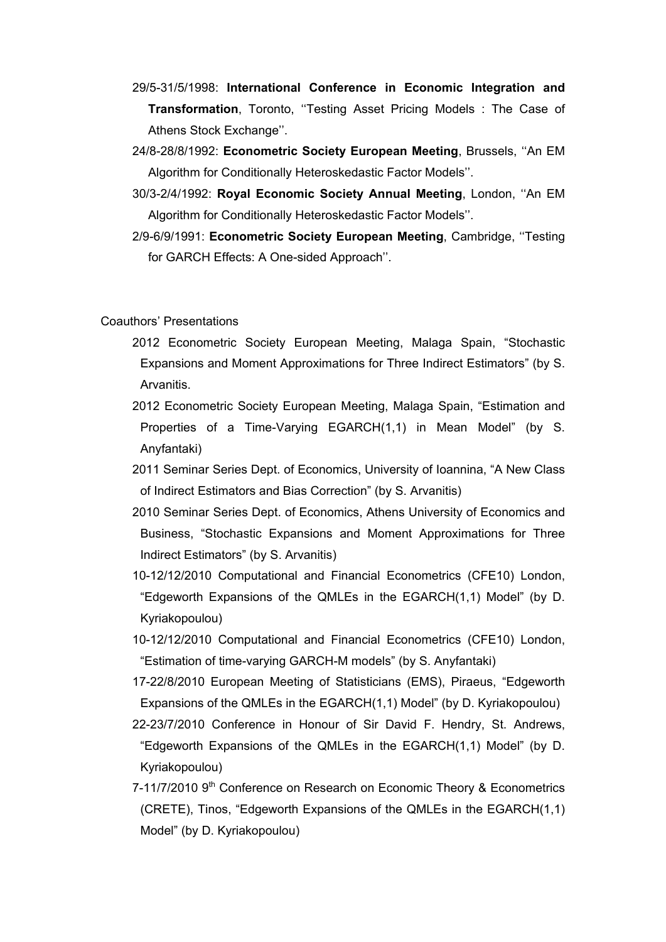- 29/5-31/5/1998: **International Conference in Economic Integration and Transformation**, Toronto, ''Testing Asset Pricing Models : The Case of Athens Stock Exchange''.
- 24/8-28/8/1992: **Econometric Society European Meeting**, Brussels, ''An EM Algorithm for Conditionally Heteroskedastic Factor Models''.
- 30/3-2/4/1992: **Royal Economic Society Annual Meeting**, London, ''An EM Algorithm for Conditionally Heteroskedastic Factor Models''.
- 2/9-6/9/1991: **Econometric Society European Meeting**, Cambridge, ''Testing for GARCH Effects: A One-sided Approach''.

Coauthors' Presentations

- 2012 Econometric Society European Meeting, Malaga Spain, "Stochastic Expansions and Moment Approximations for Three Indirect Estimators" (by S. Arvanitis.
- 2012 Econometric Society European Meeting, Malaga Spain, "Estimation and Properties of a Time-Varying EGARCH(1,1) in Mean Model" (by S. Anyfantaki)
- 2011 Seminar Series Dept. of Economics, University of Ioannina, "A New Class of Indirect Estimators and Bias Correction" (by S. Arvanitis)
- 2010 Seminar Series Dept. of Economics, Athens University of Economics and Business, "Stochastic Expansions and Moment Approximations for Three Indirect Estimators" (by S. Arvanitis)
- 10-12/12/2010 Computational and Financial Econometrics (CFE10) London, "Edgeworth Expansions of the QMLEs in the EGARCH(1,1) Model" (by D. Kyriakopoulou)
- 10-12/12/2010 Computational and Financial Econometrics (CFE10) London, "Estimation of time-varying GARCH-M models" (by S. Anyfantaki)
- 17-22/8/2010 European Meeting of Statisticians (EMS), Piraeus, "Edgeworth Expansions of the QMLEs in the EGARCH(1,1) Model" (by D. Kyriakopoulou)
- 22-23/7/2010 Conference in Honour of Sir David F. Hendry, St. Andrews, "Edgeworth Expansions of the QMLEs in the EGARCH(1,1) Model" (by D. Kyriakopoulou)
- 7-11/7/2010 9<sup>th</sup> Conference on Research on Economic Theory & Econometrics (CRETE), Tinos, "Edgeworth Expansions of the QMLEs in the EGARCH(1,1) Model" (by D. Kyriakopoulou)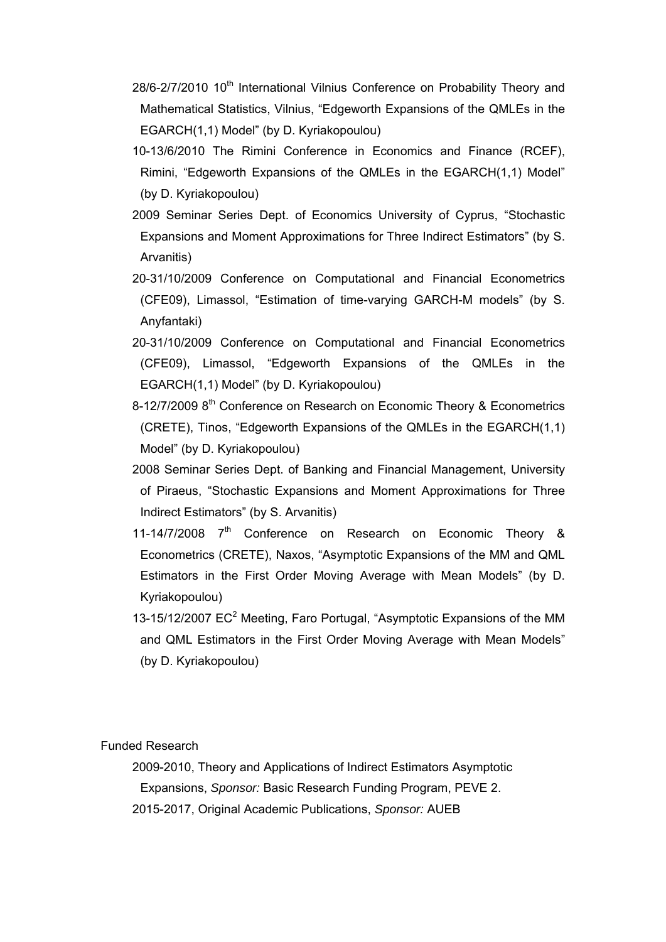- 28/6-2/7/2010 10<sup>th</sup> International Vilnius Conference on Probability Theory and Mathematical Statistics, Vilnius, "Edgeworth Expansions of the QMLEs in the EGARCH(1,1) Model" (by D. Kyriakopoulou)
- 10-13/6/2010 The Rimini Conference in Economics and Finance (RCEF), Rimini, "Edgeworth Expansions of the QMLEs in the EGARCH(1,1) Model" (by D. Kyriakopoulou)
- 2009 Seminar Series Dept. of Economics University of Cyprus, "Stochastic Expansions and Moment Approximations for Three Indirect Estimators" (by S. Arvanitis)
- 20-31/10/2009 Conference on Computational and Financial Econometrics (CFE09), Limassol, "Estimation of time-varying GARCH-M models" (by S. Anyfantaki)
- 20-31/10/2009 Conference on Computational and Financial Econometrics (CFE09), Limassol, "Edgeworth Expansions of the QMLEs in the EGARCH(1,1) Model" (by D. Kyriakopoulou)
- 8-12/7/2009 8<sup>th</sup> Conference on Research on Economic Theory & Econometrics (CRETE), Tinos, "Edgeworth Expansions of the QMLEs in the EGARCH(1,1) Model" (by D. Kyriakopoulou)
- 2008 Seminar Series Dept. of Banking and Financial Management, University of Piraeus, "Stochastic Expansions and Moment Approximations for Three Indirect Estimators" (by S. Arvanitis)
- 11-14/7/2008 7<sup>th</sup> Conference on Research on Economic Theory & Econometrics (CRETE), Naxos, "Asymptotic Expansions of the MM and QML Estimators in the First Order Moving Average with Mean Models" (by D. Kyriakopoulou)
- 13-15/12/2007  $EC^2$  Meeting, Faro Portugal, "Asymptotic Expansions of the MM and QML Estimators in the First Order Moving Average with Mean Models" (by D. Kyriakopoulou)

Funded Research

2009-2010, Theory and Applications of Indirect Estimators Asymptotic Expansions, *Sponsor:* Basic Research Funding Program, PEVE 2. 2015-2017, Original Academic Publications, *Sponsor:* AUEB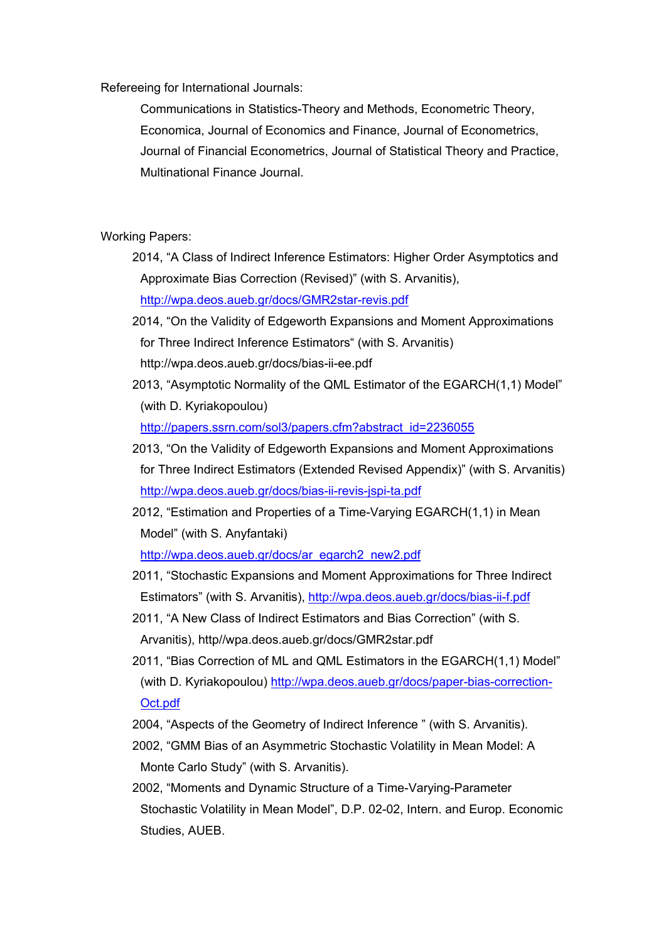Refereeing for International Journals:

Communications in Statistics-Theory and Methods, Econometric Theory, Economica, Journal of Economics and Finance, Journal of Econometrics, Journal of Financial Econometrics, Journal of Statistical Theory and Practice, Multinational Finance Journal.

Working Papers:

- 2014, "A Class of Indirect Inference Estimators: Higher Order Asymptotics and Approximate Bias Correction (Revised)" (with S. Arvanitis), http://wpa.deos.aueb.gr/docs/GMR2star-revis.pdf
- 2014, "On the Validity of Edgeworth Expansions and Moment Approximations for Three Indirect Inference Estimators" (with S. Arvanitis) http://wpa.deos.aueb.gr/docs/bias-ii-ee.pdf
- 2013, "Asymptotic Normality of the QML Estimator of the EGARCH(1,1) Model" (with D. Kyriakopoulou)

http://papers.ssrn.com/sol3/papers.cfm?abstract\_id=2236055

- 2013, "On the Validity of Edgeworth Expansions and Moment Approximations for Three Indirect Estimators (Extended Revised Appendix)" (with S. Arvanitis) http://wpa.deos.aueb.gr/docs/bias-ii-revis-jspi-ta.pdf
- 2012, "Estimation and Properties of a Time-Varying EGARCH(1,1) in Mean Model" (with S. Anyfantaki)

http://wpa.deos.aueb.gr/docs/ar\_egarch2\_new2.pdf

- 2011, "Stochastic Expansions and Moment Approximations for Three Indirect Estimators" (with S. Arvanitis), http://wpa.deos.aueb.gr/docs/bias-ii-f.pdf
- 2011, "A New Class of Indirect Estimators and Bias Correction" (with S. Arvanitis), http//wpa.deos.aueb.gr/docs/GMR2star.pdf
- 2011, "Bias Correction of ML and QML Estimators in the EGARCH(1,1) Model" (with D. Kyriakopoulou) http://wpa.deos.aueb.gr/docs/paper-bias-correction-Oct.pdf
- 2004, "Aspects of the Geometry of Indirect Inference " (with S. Arvanitis).
- 2002, "GMM Bias of an Asymmetric Stochastic Volatility in Mean Model: A Monte Carlo Study" (with S. Arvanitis).
- 2002, "Moments and Dynamic Structure of a Time-Varying-Parameter Stochastic Volatility in Mean Model", D.P. 02-02, Intern. and Europ. Economic Studies, AUEB.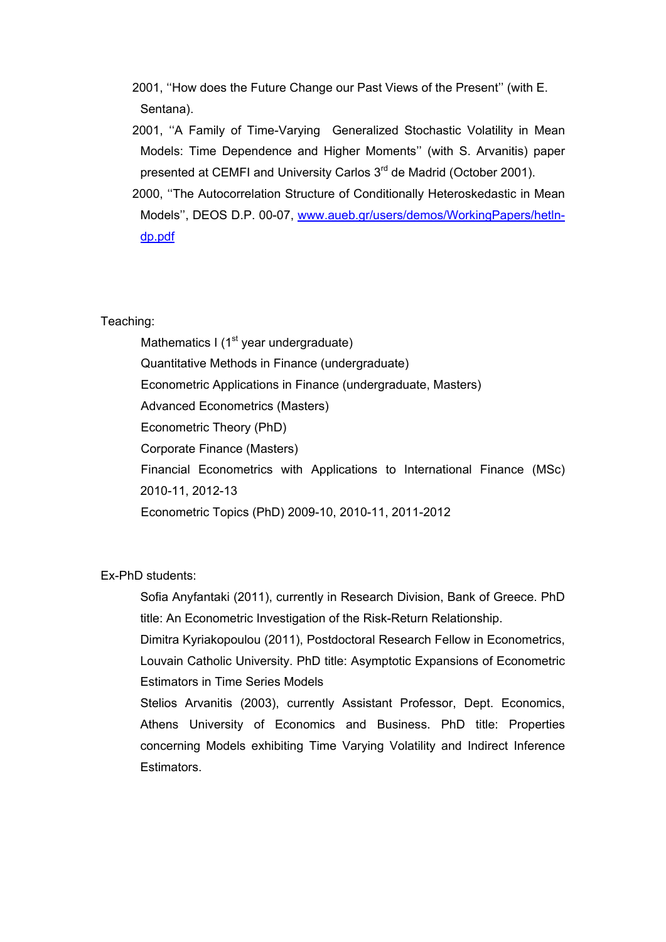- 2001, ''How does the Future Change our Past Views of the Present'' (with E. Sentana).
- 2001, ''A Family of Time-Varying Generalized Stochastic Volatility in Mean Models: Time Dependence and Higher Moments'' (with S. Arvanitis) paper presented at CEMFI and University Carlos 3<sup>rd</sup> de Madrid (October 2001).
- 2000, ''The Autocorrelation Structure of Conditionally Heteroskedastic in Mean Models'', DEOS D.P. 00-07, www.aueb.gr/users/demos/WorkingPapers/hetlndp.pdf

## Teaching:

Mathematics I ( $1<sup>st</sup>$  year undergraduate) Quantitative Methods in Finance (undergraduate) Econometric Applications in Finance (undergraduate, Masters) Advanced Econometrics (Masters) Econometric Theory (PhD) Corporate Finance (Masters) Financial Econometrics with Applications to International Finance (MSc) 2010-11, 2012-13 Econometric Topics (PhD) 2009-10, 2010-11, 2011-2012

Ex-PhD students:

Sofia Anyfantaki (2011), currently in Research Division, Bank of Greece. PhD title: An Econometric Investigation of the Risk-Return Relationship.

Dimitra Kyriakopoulou (2011), Postdoctoral Research Fellow in Econometrics, Louvain Catholic University. PhD title: Asymptotic Expansions of Econometric Estimators in Time Series Models

Stelios Arvanitis (2003), currently Assistant Professor, Dept. Economics, Athens University of Economics and Business. PhD title: Properties concerning Models exhibiting Time Varying Volatility and Indirect Inference **Estimators**